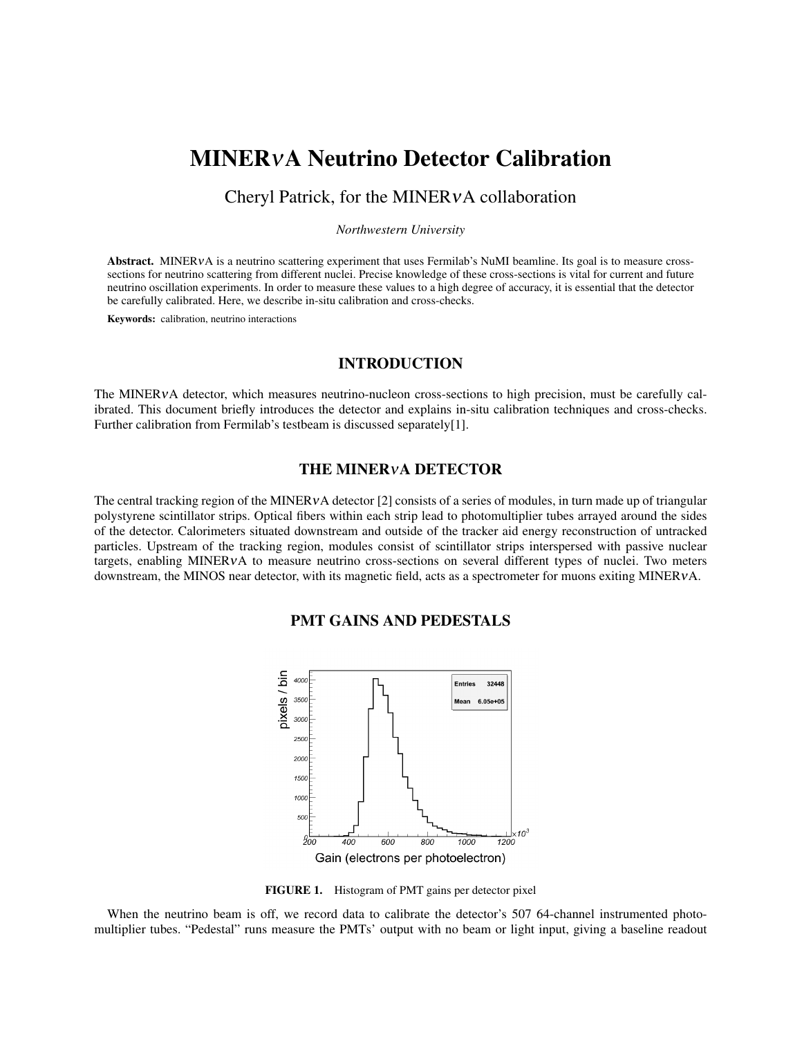# MINERνA Neutrino Detector Calibration

# Cheryl Patrick, for the MINERνA collaboration

#### *Northwestern University*

Abstract. MINERVA is a neutrino scattering experiment that uses Fermilab's NuMI beamline. Its goal is to measure crosssections for neutrino scattering from different nuclei. Precise knowledge of these cross-sections is vital for current and future neutrino oscillation experiments. In order to measure these values to a high degree of accuracy, it is essential that the detector be carefully calibrated. Here, we describe in-situ calibration and cross-checks.

Keywords: calibration, neutrino interactions

#### INTRODUCTION

The MINERVA detector, which measures neutrino-nucleon cross-sections to high precision, must be carefully calibrated. This document briefly introduces the detector and explains in-situ calibration techniques and cross-checks. Further calibration from Fermilab's testbeam is discussed separately[1].

#### THE MINERνA DETECTOR

The central tracking region of the MINERVA detector [2] consists of a series of modules, in turn made up of triangular polystyrene scintillator strips. Optical fibers within each strip lead to photomultiplier tubes arrayed around the sides of the detector. Calorimeters situated downstream and outside of the tracker aid energy reconstruction of untracked particles. Upstream of the tracking region, modules consist of scintillator strips interspersed with passive nuclear targets, enabling MINERνA to measure neutrino cross-sections on several different types of nuclei. Two meters downstream, the MINOS near detector, with its magnetic field, acts as a spectrometer for muons exiting MINERνA.

# PMT GAINS AND PEDESTALS



FIGURE 1. Histogram of PMT gains per detector pixel

When the neutrino beam is off, we record data to calibrate the detector's 507 64-channel instrumented photomultiplier tubes. "Pedestal" runs measure the PMTs' output with no beam or light input, giving a baseline readout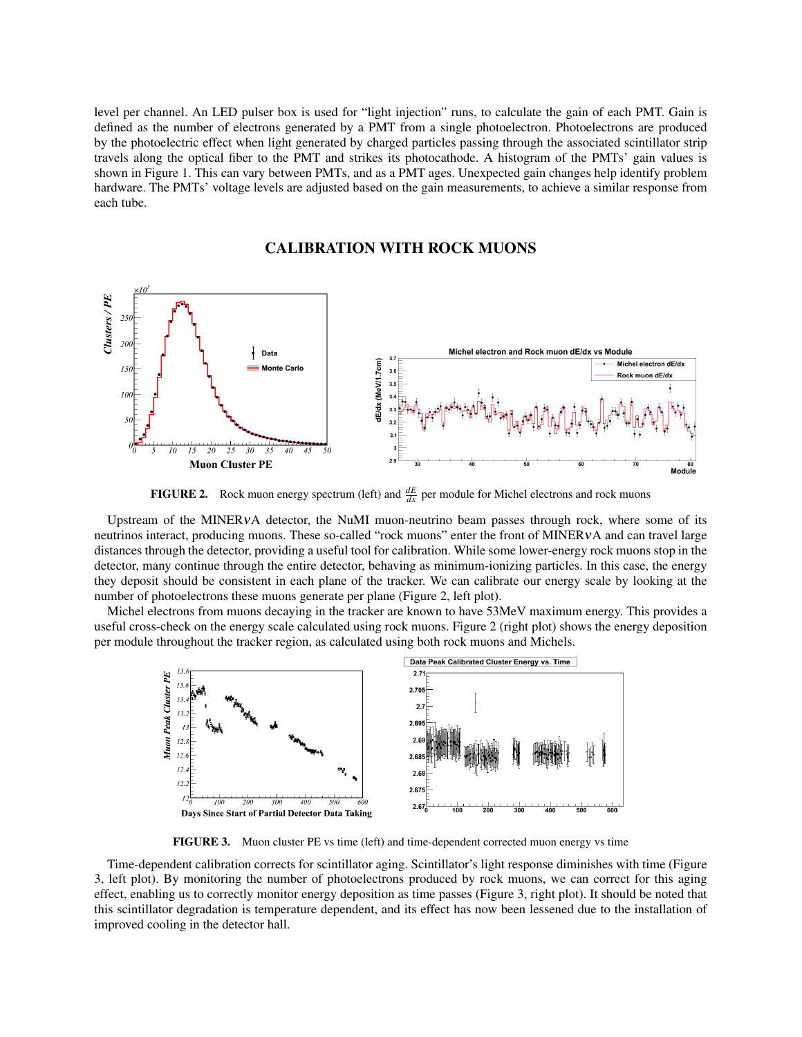level per channel. An LED pulser box is used for "light injection" runs, to calculate the gain of each PMT. Gain is defined as the number of electrons generated by a PMT from a single photoelectron. Photoelectrons are produced by the photoelectric effect when light generated by charged particles passing through the associated scintillator strip travels along the optical fiber to the PMT and strikes its photocathode. A histogram of the PMTs' gain values is shown in Figure 1. This can vary between PMTs, and as a PMT ages. Unexpected gain changes help identify problem hardware. The PMTs' voltage levels are adjusted based on the gain measurements, to achieve a similar response from each tube.

# CALIBRATION WITH ROCK MUONS



**FIGURE 2.** Rock muon energy spectrum (left) and  $\frac{dE}{dx}$  per module for Michel electrons and rock muons

Upstream of the MINERVA detector, the NuMI muon-neutrino beam passes through rock, where some of its neutrinos interact, producing muons. These so-called "rock muons" enter the front of MINERνA and can travel large distances through the detector, providing a useful tool for calibration. While some lower-energy rock muons stop in the detector, many continue through the entire detector, behaving as minimum-ionizing particles. In this case, the energy they deposit should be consistent in each plane of the tracker. We can calibrate our energy scale by looking at the number of photoelectrons these muons generate per plane (Figure 2, left plot).

Michel electrons from muons decaying in the tracker are known to have 53MeV maximum energy. This provides a useful cross-check on the energy scale calculated using rock muons. Figure 2 (right plot) shows the energy deposition per module throughout the tracker region, as calculated using both rock muons and Michels.



FIGURE 3. Muon cluster PE vs time (left) and time-dependent corrected muon energy vs time

Time-dependent calibration corrects for scintillator aging. Scintillator's light response diminishes with time (Figure 3, left plot). By monitoring the number of photoelectrons produced by rock muons, we can correct for this aging effect, enabling us to correctly monitor energy deposition as time passes (Figure 3, right plot). It should be noted that this scintillator degradation is temperature dependent, and its effect has now been lessened due to the installation of improved cooling in the detector hall.